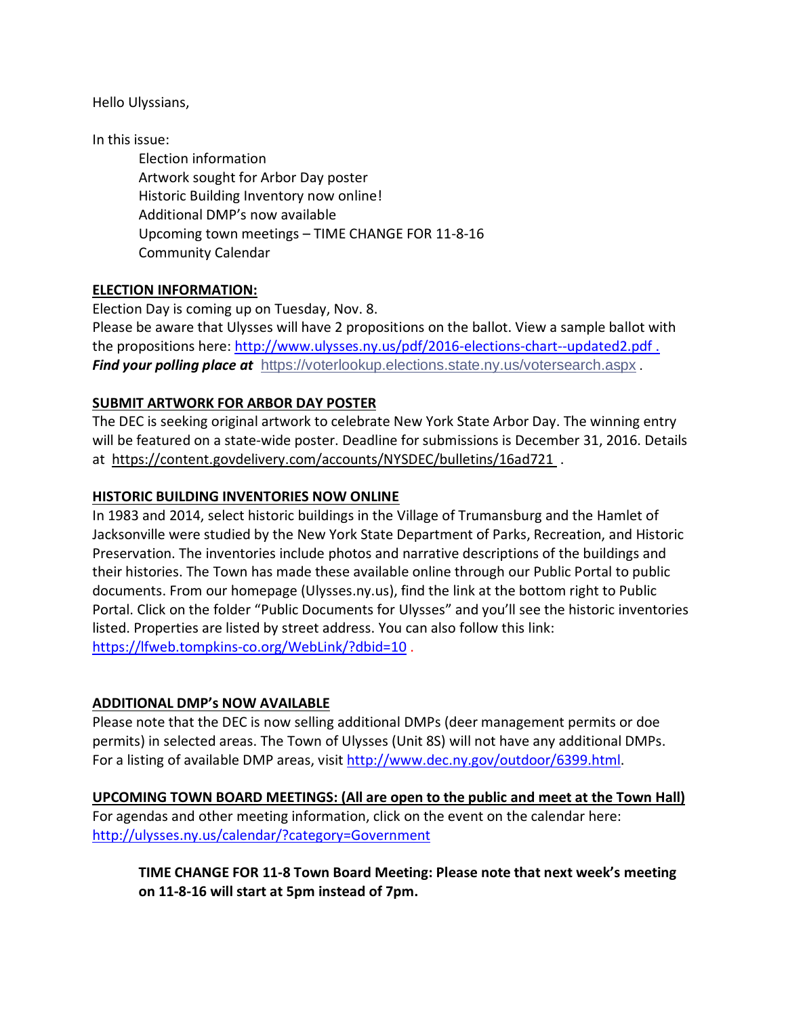Hello Ulyssians,

In this issue:

Election information Artwork sought for Arbor Day poster Historic Building Inventory now online! Additional DMP's now available Upcoming town meetings – TIME CHANGE FOR 11-8-16 Community Calendar

## **ELECTION INFORMATION:**

Election Day is coming up on Tuesday, Nov. 8. Please be aware that Ulysses will have 2 propositions on the ballot. View a sample ballot with the propositions here:<http://www.ulysses.ny.us/pdf/2016-elections-chart--updated2.pdf>. *Find your polling place at* <https://voterlookup.elections.state.ny.us/votersearch.aspx> .

### **SUBMIT ARTWORK FOR ARBOR DAY POSTER**

The DEC is seeking original artwork to celebrate New York State Arbor Day. The winning entry will be featured on a state-wide poster. Deadline for submissions is December 31, 2016. Details at <https://content.govdelivery.com/accounts/NYSDEC/bulletins/16ad721> .

#### **HISTORIC BUILDING INVENTORIES NOW ONLINE**

In 1983 and 2014, select historic buildings in the Village of Trumansburg and the Hamlet of Jacksonville were studied by the New York State Department of Parks, Recreation, and Historic Preservation. The inventories include photos and narrative descriptions of the buildings and their histories. The Town has made these available online through our Public Portal to public documents. From our homepage (Ulysses.ny.us), find the link at the bottom right to Public Portal. Click on the folder "Public Documents for Ulysses" and you'll see the historic inventories listed. Properties are listed by street address. You can also follow this link: <https://lfweb.tompkins-co.org/WebLink/?dbid=10>.

#### **ADDITIONAL DMP's NOW AVAILABLE**

Please note that the DEC is now selling additional DMPs (deer management permits or doe permits) in selected areas. The Town of Ulysses (Unit 8S) will not have any additional DMPs. For a listing of available DMP areas, visit [http://www.dec.ny.gov/outdoor/6399.html.](http://www.dec.ny.gov/outdoor/6399.html)

**UPCOMING TOWN BOARD MEETINGS: (All are open to the public and meet at the Town Hall)** For agendas and other meeting information, click on the event on the calendar here: <http://ulysses.ny.us/calendar/?category=Government>

**TIME CHANGE FOR 11-8 Town Board Meeting: Please note that next week's meeting on 11-8-16 will start at 5pm instead of 7pm.**